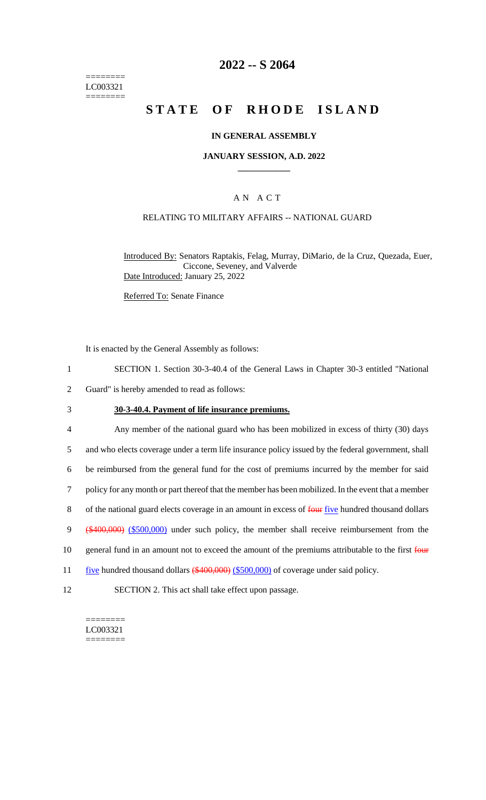======== LC003321 ========

## **2022 -- S 2064**

# **STATE OF RHODE ISLAND**

#### **IN GENERAL ASSEMBLY**

#### **JANUARY SESSION, A.D. 2022 \_\_\_\_\_\_\_\_\_\_\_\_**

### A N A C T

### RELATING TO MILITARY AFFAIRS -- NATIONAL GUARD

Introduced By: Senators Raptakis, Felag, Murray, DiMario, de la Cruz, Quezada, Euer, Ciccone, Seveney, and Valverde Date Introduced: January 25, 2022

Referred To: Senate Finance

It is enacted by the General Assembly as follows:

- 1 SECTION 1. Section 30-3-40.4 of the General Laws in Chapter 30-3 entitled "National
- 2 Guard" is hereby amended to read as follows:
- 3 **30-3-40.4. Payment of life insurance premiums.**
- 4 Any member of the national guard who has been mobilized in excess of thirty (30) days 5 and who elects coverage under a term life insurance policy issued by the federal government, shall 6 be reimbursed from the general fund for the cost of premiums incurred by the member for said 7 policy for any month or part thereof that the member has been mobilized. In the event that a member 8 of the national guard elects coverage in an amount in excess of four five hundred thousand dollars 9 (\$400,000) (\$500,000) under such policy, the member shall receive reimbursement from the 10 general fund in an amount not to exceed the amount of the premiums attributable to the first four 11 five hundred thousand dollars (\$400,000) (\$500,000) of coverage under said policy. 12 SECTION 2. This act shall take effect upon passage.

LC003321 ========

 $=$